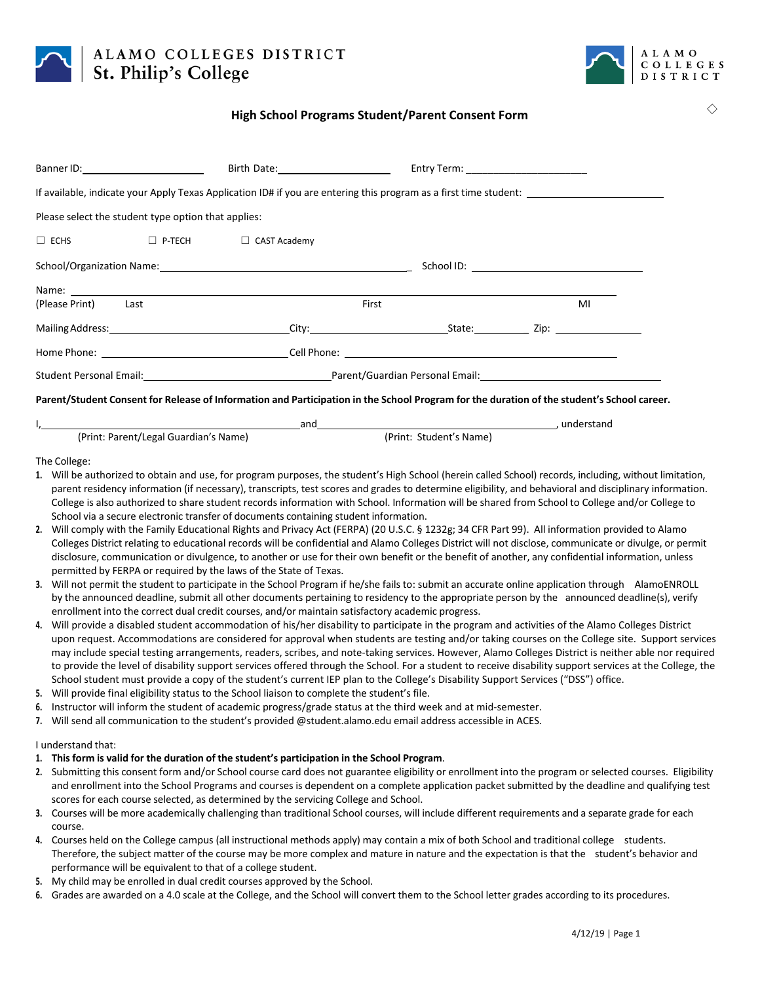

# ALAMO COLLEGES DISTRICT St. Philip's College



☐

## **High School Programs Student/Parent Consent Form**

| School/Organization Name: Manual Manual Manual Manual Manual Manual Manual Manual Manual Manual Manual Manual |                                                                                                                                                                                                                                                                                                                                        |                                                                                                                                                                                                                                        |
|---------------------------------------------------------------------------------------------------------------|----------------------------------------------------------------------------------------------------------------------------------------------------------------------------------------------------------------------------------------------------------------------------------------------------------------------------------------|----------------------------------------------------------------------------------------------------------------------------------------------------------------------------------------------------------------------------------------|
|                                                                                                               |                                                                                                                                                                                                                                                                                                                                        |                                                                                                                                                                                                                                        |
|                                                                                                               |                                                                                                                                                                                                                                                                                                                                        | MI                                                                                                                                                                                                                                     |
|                                                                                                               |                                                                                                                                                                                                                                                                                                                                        |                                                                                                                                                                                                                                        |
|                                                                                                               |                                                                                                                                                                                                                                                                                                                                        |                                                                                                                                                                                                                                        |
|                                                                                                               |                                                                                                                                                                                                                                                                                                                                        |                                                                                                                                                                                                                                        |
|                                                                                                               | Banner ID: Note and Separate and Separate and Separate and Separate and Separate and Separate and Separate and Separate and Separate and Separate and Separate and Separate and Separate and Separate and Separate and Separat<br>Please select the student type option that applies:<br>$\Box$ ECHS $\Box$ P-TECH $\Box$ CAST Academy | First<br>Student Personal Email: National American Communication Personal Email: National Email: National Email: National Email: National American Communication Communication Communication Communication Communication Communication |

#### Parent/Student Consent for Release of Information and Participation in the School Program for the duration of the student's School career.

|                                       | and |                         | understand |
|---------------------------------------|-----|-------------------------|------------|
| (Print: Parent/Legal Guardian's Name) |     | (Print: Student's Name) |            |

### The College:

- **1.** Will be authorized to obtain and use, for program purposes, the student's High School (herein called School) records, including, without limitation, parent residency information (if necessary), transcripts, test scores and grades to determine eligibility, and behavioral and disciplinary information. College is also authorized to share student records information with School. Information will be shared from School to College and/or College to School via a secure electronic transfer of documents containing student information.
- **2.** Will comply with the Family Educational Rights and Privacy Act (FERPA) (20 U.S.C. § 1232g; 34 CFR Part 99). All information provided to Alamo Colleges District relating to educational records will be confidential and Alamo Colleges District will not disclose, communicate or divulge, or permit disclosure, communication or divulgence, to another or use for their own benefit or the benefit of another, any confidential information, unless permitted by FERPA or required by the laws of the State of Texas.
- **3.** Will not permit the student to participate in the School Program if he/she fails to: submit an accurate online application through AlamoENROLL by the announced deadline, submit all other documents pertaining to residency to the appropriate person by the announced deadline(s), verify enrollment into the correct dual credit courses, and/or maintain satisfactory academic progress.
- **4.** Will provide a disabled student accommodation of his/her disability to participate in the program and activities of the Alamo Colleges District upon request. Accommodations are considered for approval when students are testing and/or taking courses on the College site. Support services may include special testing arrangements, readers, scribes, and note-taking services. However, Alamo Colleges District is neither able nor required to provide the level of disability support services offered through the School. For a student to receive disability support services at the College, the School student must provide a copy of the student's current IEP plan to the College's Disability Support Services ("DSS") office.
- **5.** Will provide final eligibility status to the School liaison to complete the student's file.
- **6.** Instructor will inform the student of academic progress/grade status at the third week and at mid‐semester.
- **7.** Will send all communication to the student's provided @student.alamo.edu email address accessible in ACES.

### I understand that:

- **1. This form is valid for the duration of the student's participation in the School Program**.
- **2.** Submitting this consent form and/or School course card does not guarantee eligibility or enrollment into the program or selected courses. Eligibility and enrollment into the School Programs and courses is dependent on a complete application packet submitted by the deadline and qualifying test scores for each course selected, as determined by the servicing College and School.
- **3.** Courses will be more academically challenging than traditional School courses, will include different requirements and a separate grade for each course.
- **4.** Courses held on the College campus (all instructional methods apply) may contain a mix of both School and traditional college students. Therefore, the subject matter of the course may be more complex and mature in nature and the expectation is that the student's behavior and performance will be equivalent to that of a college student.
- **5.** My child may be enrolled in dual credit courses approved by the School.
- **6.** Grades are awarded on a 4.0 scale at the College, and the School will convert them to the School letter grades according to its procedures.